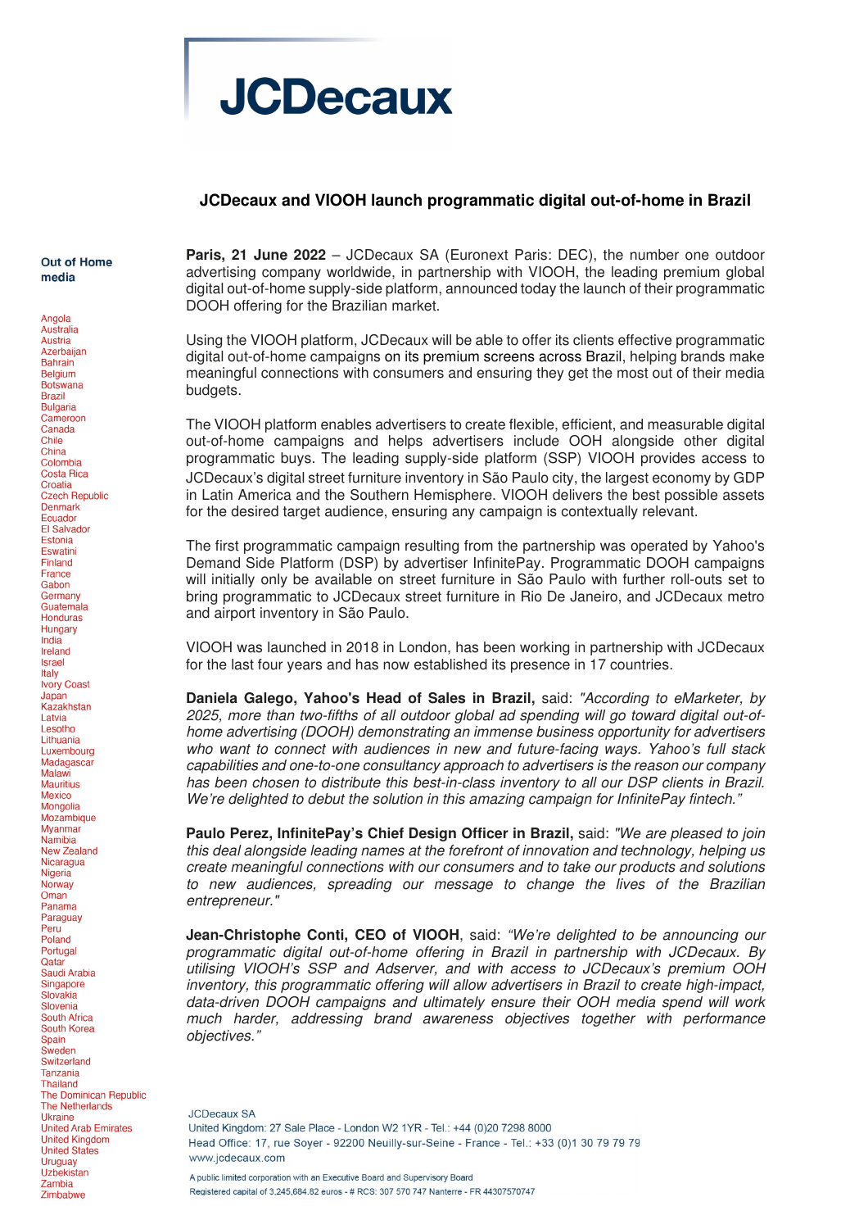

## **JCDecaux and VIOOH launch programmatic digital out-of-home in Brazil**

Out of Home media

Angola

Australia Austria Azerbaijan **Bahrain** Belgium Botswana **Brazil Bulgaria** Cameroon Canada Chile China Colombia **Costa Rica** Croatia **Czech Republic Denmark** Ecuador El Salvador Estonia **Fswatini** Finland France Gabon Germany Guatemala **Honduras** Hungary India Ireland Israel Italy **Ivory Coast** Japan<br>Kazakhstan Latvia Lesotho Lithuania Luxembourg Madagascar Malawi Mauritius Mexico Mongolia Mozambique **Myanmar** Namibia **New Zealand** Nicaragua Nigeria Norway Oman Panama Paraguay Peru Poland Portugal Qatar Saudi Arabia Singapore Slovakia Slovenia South Africa South Korea Spain Sweden Switzerland **Tanzania Thailand** The Dominican Republic **The Netherlands** Ukraine **United Arab Emirates United Kingdom United States** Uruguay Uzbekistan Zambia Zimbabwe

**Paris, 21 June 2022** – JCDecaux SA (Euronext Paris: DEC), the number one outdoor advertising company worldwide, in partnership with VIOOH, the leading premium global digital out-of-home supply-side platform, announced today the launch of their programmatic DOOH offering for the Brazilian market.

Using the VIOOH platform, JCDecaux will be able to offer its clients effective programmatic digital out-of-home campaigns on its premium screens across Brazil, helping brands make meaningful connections with consumers and ensuring they get the most out of their media budgets.

The VIOOH platform enables advertisers to create flexible, efficient, and measurable digital out-of-home campaigns and helps advertisers include OOH alongside other digital programmatic buys. The leading supply-side platform (SSP) VIOOH provides access to JCDecaux's digital street furniture inventory in São Paulo city, the largest economy by GDP in Latin America and the Southern Hemisphere. VIOOH delivers the best possible assets for the desired target audience, ensuring any campaign is contextually relevant.

The first programmatic campaign resulting from the partnership was operated by Yahoo's Demand Side Platform (DSP) by advertiser InfinitePay. Programmatic DOOH campaigns will initially only be available on street furniture in São Paulo with further roll-outs set to bring programmatic to JCDecaux street furniture in Rio De Janeiro, and JCDecaux metro and airport inventory in São Paulo.

VIOOH was launched in 2018 in London, has been working in partnership with JCDecaux for the last four years and has now established its presence in 17 countries.

**Daniela Galego, Yahoo's Head of Sales in Brazil,** said: "According to eMarketer, by 2025, more than two-fifths of all outdoor global ad spending will go toward digital out-ofhome advertising (DOOH) demonstrating an immense business opportunity for advertisers who want to connect with audiences in new and future-facing ways. Yahoo's full stack capabilities and one-to-one consultancy approach to advertisers is the reason our company has been chosen to distribute this best-in-class inventory to all our DSP clients in Brazil. We're delighted to debut the solution in this amazing campaign for InfinitePay fintech."

Paulo Perez, InfinitePay's Chief Design Officer in Brazil, said: "We are pleased to join this deal alongside leading names at the forefront of innovation and technology, helping us create meaningful connections with our consumers and to take our products and solutions to new audiences, spreading our message to change the lives of the Brazilian entrepreneur."

**Jean-Christophe Conti, CEO of VIOOH**, said: "We're delighted to be announcing our programmatic digital out-of-home offering in Brazil in partnership with JCDecaux. By utilising VIOOH's SSP and Adserver, and with access to JCDecaux's premium OOH inventory, this programmatic offering will allow advertisers in Brazil to create high-impact, data-driven DOOH campaigns and ultimately ensure their OOH media spend will work much harder, addressing brand awareness objectives together with performance objectives."